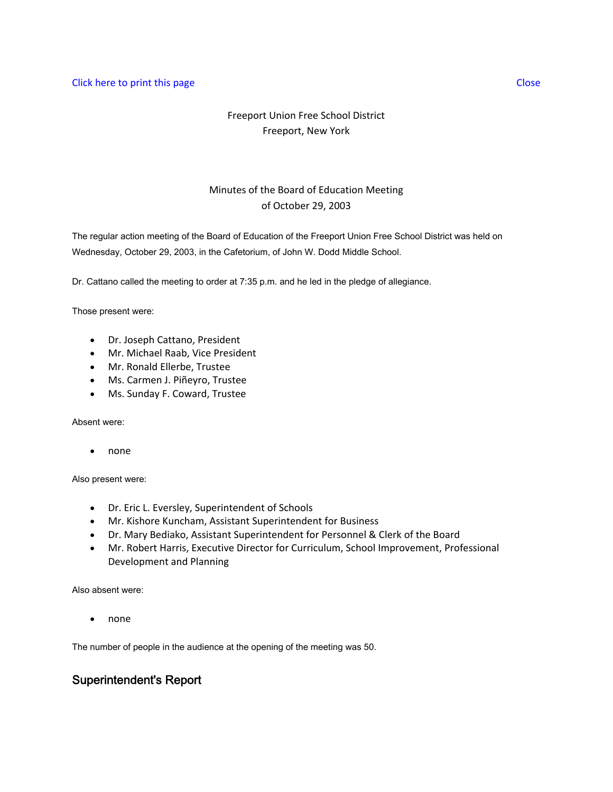### **Click here to print this page Close** Close Close Close Close Close Close Close Close Close Close Close Close Close

# Freeport Union Free School District Freeport, New York

# Minutes of the Board of Education Meeting of October 29, 2003

The regular action meeting of the Board of Education of the Freeport Union Free School District was held on Wednesday, October 29, 2003, in the Cafetorium, of John W. Dodd Middle School.

Dr. Cattano called the meeting to order at 7:35 p.m. and he led in the pledge of allegiance.

Those present were:

- Dr. Joseph Cattano, President
- Mr. Michael Raab, Vice President
- Mr. Ronald Ellerbe, Trustee
- Ms. Carmen J. Piñeyro, Trustee
- Ms. Sunday F. Coward, Trustee

Absent were:

• none

Also present were:

- Dr. Eric L. Eversley, Superintendent of Schools
- Mr. Kishore Kuncham, Assistant Superintendent for Business
- Dr. Mary Bediako, Assistant Superintendent for Personnel & Clerk of the Board
- Mr. Robert Harris, Executive Director for Curriculum, School Improvement, Professional Development and Planning

Also absent were:

• none

The number of people in the audience at the opening of the meeting was 50.

## Superintendent's Report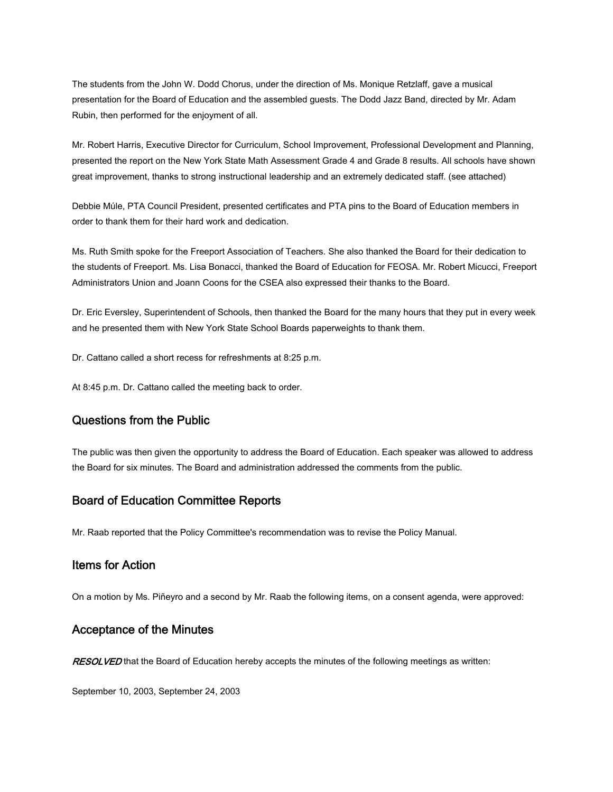The students from the John W. Dodd Chorus, under the direction of Ms. Monique Retzlaff, gave a musical presentation for the Board of Education and the assembled guests. The Dodd Jazz Band, directed by Mr. Adam Rubin, then performed for the enjoyment of all.

Mr. Robert Harris, Executive Director for Curriculum, School Improvement, Professional Development and Planning, presented the report on the New York State Math Assessment Grade 4 and Grade 8 results. All schools have shown great improvement, thanks to strong instructional leadership and an extremely dedicated staff. (see attached)

Debbie Múle, PTA Council President, presented certificates and PTA pins to the Board of Education members in order to thank them for their hard work and dedication.

Ms. Ruth Smith spoke for the Freeport Association of Teachers. She also thanked the Board for their dedication to the students of Freeport. Ms. Lisa Bonacci, thanked the Board of Education for FEOSA. Mr. Robert Micucci, Freeport Administrators Union and Joann Coons for the CSEA also expressed their thanks to the Board.

Dr. Eric Eversley, Superintendent of Schools, then thanked the Board for the many hours that they put in every week and he presented them with New York State School Boards paperweights to thank them.

Dr. Cattano called a short recess for refreshments at 8:25 p.m.

At 8:45 p.m. Dr. Cattano called the meeting back to order.

### Questions from the Public

The public was then given the opportunity to address the Board of Education. Each speaker was allowed to address the Board for six minutes. The Board and administration addressed the comments from the public.

## Board of Education Committee Reports

Mr. Raab reported that the Policy Committee's recommendation was to revise the Policy Manual.

## Items for Action

On a motion by Ms. Piñeyro and a second by Mr. Raab the following items, on a consent agenda, were approved:

### Acceptance of the Minutes

RESOLVED that the Board of Education hereby accepts the minutes of the following meetings as written:

September 10, 2003, September 24, 2003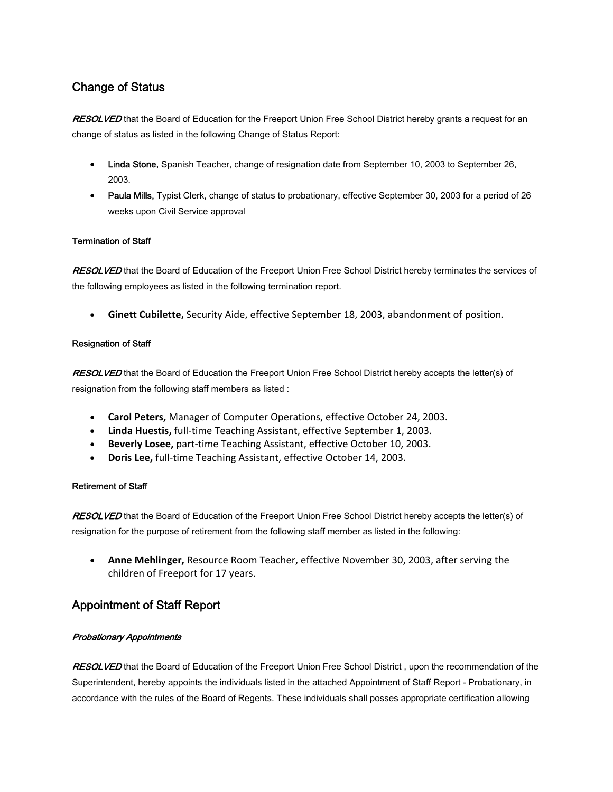# Change of Status

RESOLVED that the Board of Education for the Freeport Union Free School District hereby grants a request for an change of status as listed in the following Change of Status Report:

- Linda Stone, Spanish Teacher, change of resignation date from September 10, 2003 to September 26, 2003.
- Paula Mills, Typist Clerk, change of status to probationary, effective September 30, 2003 for a period of 26 weeks upon Civil Service approval

### Termination of Staff

RESOLVED that the Board of Education of the Freeport Union Free School District hereby terminates the services of the following employees as listed in the following termination report.

• **Ginett Cubilette,** Security Aide, effective September 18, 2003, abandonment of position.

### Resignation of Staff

RESOLVED that the Board of Education the Freeport Union Free School District hereby accepts the letter(s) of resignation from the following staff members as listed :

- **Carol Peters,** Manager of Computer Operations, effective October 24, 2003.
- **Linda Huestis,** full‐time Teaching Assistant, effective September 1, 2003.
- **Beverly Losee,** part‐time Teaching Assistant, effective October 10, 2003.
- **Doris Lee,** full‐time Teaching Assistant, effective October 14, 2003.

### Retirement of Staff

RESOLVED that the Board of Education of the Freeport Union Free School District hereby accepts the letter(s) of resignation for the purpose of retirement from the following staff member as listed in the following:

• **Anne Mehlinger,** Resource Room Teacher, effective November 30, 2003, after serving the children of Freeport for 17 years.

# Appointment of Staff Report

### Probationary Appointments

RESOLVED that the Board of Education of the Freeport Union Free School District, upon the recommendation of the Superintendent, hereby appoints the individuals listed in the attached Appointment of Staff Report - Probationary, in accordance with the rules of the Board of Regents. These individuals shall posses appropriate certification allowing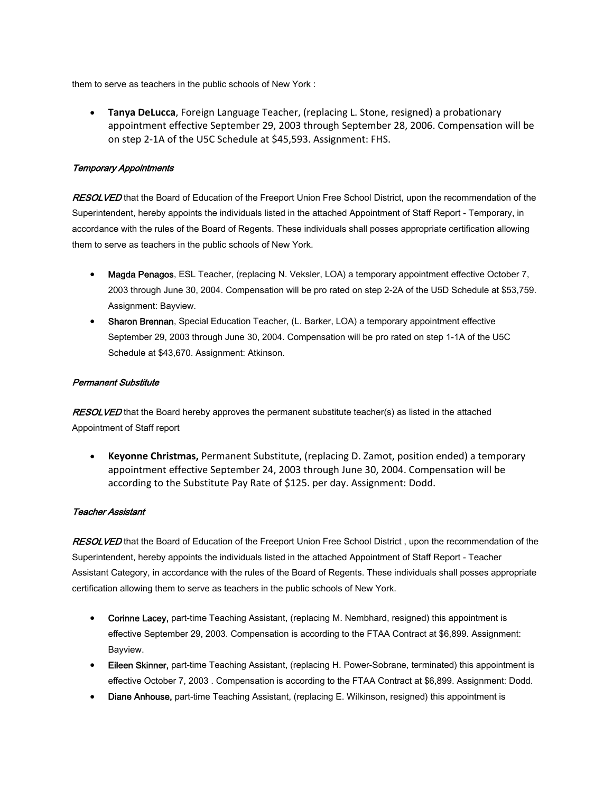them to serve as teachers in the public schools of New York :

• **Tanya DeLucca**, Foreign Language Teacher, (replacing L. Stone, resigned) a probationary appointment effective September 29, 2003 through September 28, 2006. Compensation will be on step 2‐1A of the U5C Schedule at \$45,593. Assignment: FHS.

### Temporary Appointments

RESOLVED that the Board of Education of the Freeport Union Free School District, upon the recommendation of the Superintendent, hereby appoints the individuals listed in the attached Appointment of Staff Report - Temporary, in accordance with the rules of the Board of Regents. These individuals shall posses appropriate certification allowing them to serve as teachers in the public schools of New York.

- Magda Penagos, ESL Teacher, (replacing N. Veksler, LOA) a temporary appointment effective October 7, 2003 through June 30, 2004. Compensation will be pro rated on step 2-2A of the U5D Schedule at \$53,759. Assignment: Bayview.
- Sharon Brennan, Special Education Teacher, (L. Barker, LOA) a temporary appointment effective September 29, 2003 through June 30, 2004. Compensation will be pro rated on step 1-1A of the U5C Schedule at \$43,670. Assignment: Atkinson.

#### Permanent Substitute

RESOLVED that the Board hereby approves the permanent substitute teacher(s) as listed in the attached Appointment of Staff report

• **Keyonne Christmas,** Permanent Substitute, (replacing D. Zamot, position ended) a temporary appointment effective September 24, 2003 through June 30, 2004. Compensation will be according to the Substitute Pay Rate of \$125. per day. Assignment: Dodd.

#### Teacher Assistant

RESOLVED that the Board of Education of the Freeport Union Free School District, upon the recommendation of the Superintendent, hereby appoints the individuals listed in the attached Appointment of Staff Report - Teacher Assistant Category, in accordance with the rules of the Board of Regents. These individuals shall posses appropriate certification allowing them to serve as teachers in the public schools of New York.

- Corinne Lacey, part-time Teaching Assistant, (replacing M. Nembhard, resigned) this appointment is effective September 29, 2003. Compensation is according to the FTAA Contract at \$6,899. Assignment: Bayview.
- Eileen Skinner, part-time Teaching Assistant, (replacing H. Power-Sobrane, terminated) this appointment is effective October 7, 2003 . Compensation is according to the FTAA Contract at \$6,899. Assignment: Dodd.
- **Diane Anhouse,** part-time Teaching Assistant, (replacing E. Wilkinson, resigned) this appointment is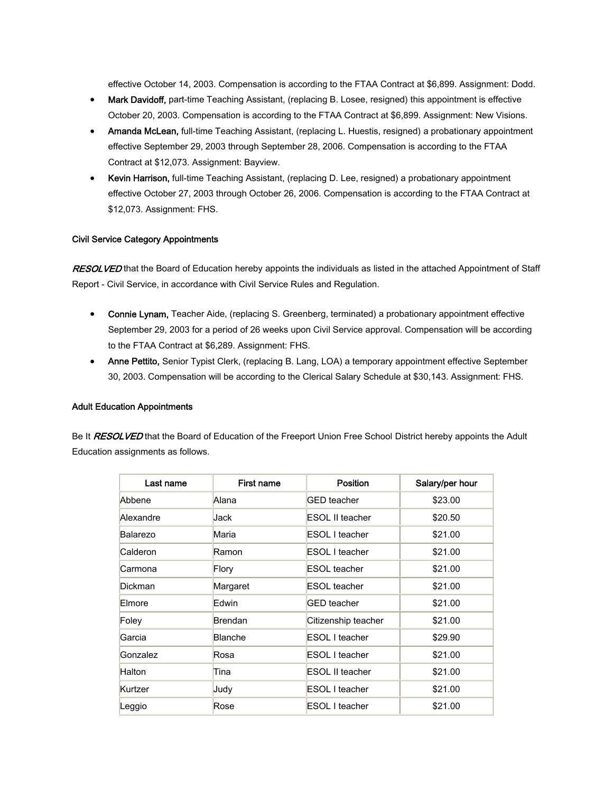effective October 14, 2003. Compensation is according to the FTAA Contract at \$6,899. Assignment: Dodd.

- Mark Davidoff, part-time Teaching Assistant, (replacing B. Losee, resigned) this appointment is effective October 20, 2003. Compensation is according to the FTAA Contract at \$6,899. Assignment: New Visions.
- Amanda McLean, full-time Teaching Assistant, (replacing L. Huestis, resigned) a probationary appointment effective September 29, 2003 through September 28, 2006. Compensation is according to the FTAA Contract at \$12,073. Assignment: Bayview.
- Kevin Harrison, full-time Teaching Assistant, (replacing D. Lee, resigned) a probationary appointment effective October 27, 2003 through October 26, 2006. Compensation is according to the FTAA Contract at \$12,073. Assignment: FHS.

#### Civil Service Category Appointments

RESOLVED that the Board of Education hereby appoints the individuals as listed in the attached Appointment of Staff Report - Civil Service, in accordance with Civil Service Rules and Regulation.

- Connie Lynam, Teacher Aide, (replacing S. Greenberg, terminated) a probationary appointment effective September 29, 2003 for a period of 26 weeks upon Civil Service approval. Compensation will be according to the FTAA Contract at \$6,289. Assignment: FHS.
- Anne Pettito, Senior Typist Clerk, (replacing B. Lang, LOA) a temporary appointment effective September 30, 2003. Compensation will be according to the Clerical Salary Schedule at \$30,143. Assignment: FHS.

#### Adult Education Appointments

Be It RESOLVED that the Board of Education of the Freeport Union Free School District hereby appoints the Adult Education assignments as follows.

| Last name | First name     | Position            | Salary/per hour |
|-----------|----------------|---------------------|-----------------|
| Abbene    | Alana          | <b>GED</b> teacher  | \$23.00         |
| Alexandre | Jack           | ESOL II teacher     | \$20.50         |
| Balarezo  | Maria          | ESOL I teacher      | \$21.00         |
| Calderon  | Ramon          | ESOL I teacher      | \$21.00         |
| Carmona   | Flory          | ESOL teacher        | \$21.00         |
| Dickman   | Margaret       | ESOL teacher        | \$21.00         |
| Elmore    | Edwin          | <b>GED</b> teacher  | \$21.00         |
| Foley     | <b>Brendan</b> | Citizenship teacher | \$21.00         |
| Garcia    | Blanche        | ESOL I teacher      | \$29.90         |
| Gonzalez  | Rosa           | ESOL I teacher      | \$21.00         |
| Halton    | Tina           | ESOL II teacher     | \$21.00         |
| Kurtzer   | Judy           | ESOL I teacher      | \$21.00         |
| Leggio    | Rose           | ESOL I teacher      | \$21.00         |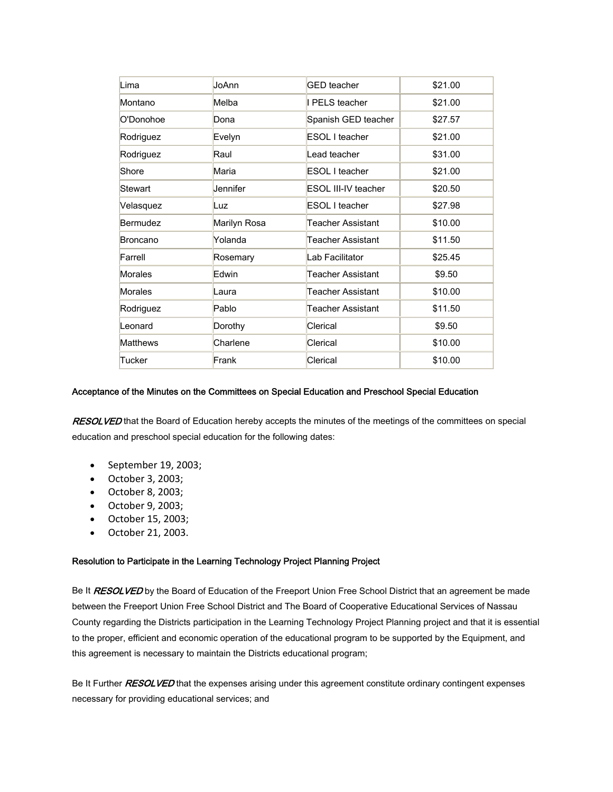| Lima            | JoAnn        | <b>GED</b> teacher  | \$21.00 |
|-----------------|--------------|---------------------|---------|
| Montano         | Melba        | I PELS teacher      | \$21.00 |
| O'Donohoe       | Dona         | Spanish GED teacher | \$27.57 |
| Rodriguez       | Evelyn       | ESOL I teacher      | \$21.00 |
| Rodriguez       | Raul         | Lead teacher        | \$31.00 |
| Shore           | Maria        | ESOL I teacher      | \$21.00 |
| Stewart         | Jennifer     | ESOL III-IV teacher | \$20.50 |
| Velasquez       | Luz          | ESOL I teacher      | \$27.98 |
| Bermudez        | Marilyn Rosa | Teacher Assistant   | \$10.00 |
| Broncano        | Yolanda      | Teacher Assistant   | \$11.50 |
| Farrell         | Rosemary     | Lab Facilitator     | \$25.45 |
| Morales         | Edwin        | Teacher Assistant   | \$9.50  |
| Morales         | Laura        | Teacher Assistant   | \$10.00 |
| Rodriguez       | Pablo        | Teacher Assistant   | \$11.50 |
| Leonard         | Dorothy      | Clerical            | \$9.50  |
| <b>Matthews</b> | Charlene     | Clerical            | \$10.00 |
| Tucker          | Frank        | Clerical            | \$10.00 |

#### Acceptance of the Minutes on the Committees on Special Education and Preschool Special Education

RESOLVED that the Board of Education hereby accepts the minutes of the meetings of the committees on special education and preschool special education for the following dates:

- September 19, 2003;
- October 3, 2003;
- October 8, 2003;
- October 9, 2003;
- October 15, 2003;
- October 21, 2003.

#### Resolution to Participate in the Learning Technology Project Planning Project

Be It RESOLVED by the Board of Education of the Freeport Union Free School District that an agreement be made between the Freeport Union Free School District and The Board of Cooperative Educational Services of Nassau County regarding the Districts participation in the Learning Technology Project Planning project and that it is essential to the proper, efficient and economic operation of the educational program to be supported by the Equipment, and this agreement is necessary to maintain the Districts educational program;

Be It Further RESOLVED that the expenses arising under this agreement constitute ordinary contingent expenses necessary for providing educational services; and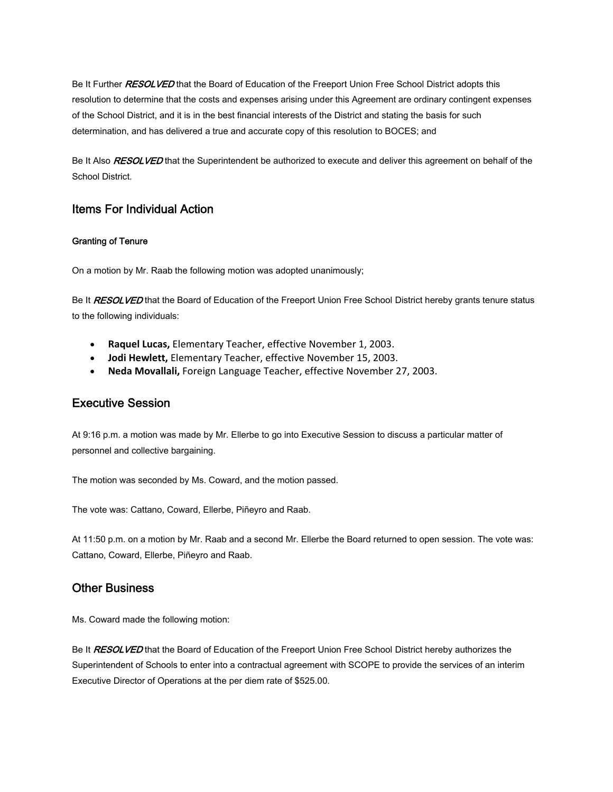Be It Further RESOLVED that the Board of Education of the Freeport Union Free School District adopts this resolution to determine that the costs and expenses arising under this Agreement are ordinary contingent expenses of the School District, and it is in the best financial interests of the District and stating the basis for such determination, and has delivered a true and accurate copy of this resolution to BOCES; and

Be It Also RESOLVED that the Superintendent be authorized to execute and deliver this agreement on behalf of the School District.

## Items For Individual Action

### Granting of Tenure

On a motion by Mr. Raab the following motion was adopted unanimously;

Be It **RESOLVED** that the Board of Education of the Freeport Union Free School District hereby grants tenure status to the following individuals:

- **Raquel Lucas,** Elementary Teacher, effective November 1, 2003.
- **Jodi Hewlett,** Elementary Teacher, effective November 15, 2003.
- **Neda Movallali,** Foreign Language Teacher, effective November 27, 2003.

## Executive Session

At 9:16 p.m. a motion was made by Mr. Ellerbe to go into Executive Session to discuss a particular matter of personnel and collective bargaining.

The motion was seconded by Ms. Coward, and the motion passed.

The vote was: Cattano, Coward, Ellerbe, Piñeyro and Raab.

At 11:50 p.m. on a motion by Mr. Raab and a second Mr. Ellerbe the Board returned to open session. The vote was: Cattano, Coward, Ellerbe, Piñeyro and Raab.

# Other Business

Ms. Coward made the following motion:

Be It RESOLVED that the Board of Education of the Freeport Union Free School District hereby authorizes the Superintendent of Schools to enter into a contractual agreement with SCOPE to provide the services of an interim Executive Director of Operations at the per diem rate of \$525.00.